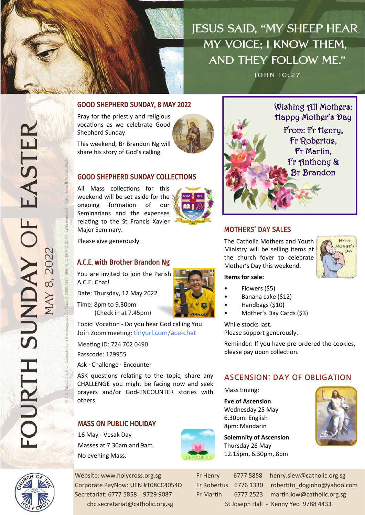**JESUS SAID, "MY SHEEP HEAR** MY VOICE: I KNOW THEM. AND THEY FOLLOW ME."

**JOHN 10:27** 



Pray for the priestly and religious vocations as we celebrate Good Shepherd Sunday.

This weekend, Br Brandon Ng will share his story of God's calling.

## GOOD SHEPHERD SUNDAY COLLECTIONS

All Mass collections for this weekend will be set aside for the ongoing formation of our Seminarians and the expenses relating to the St Francis Xavier Major Seminary.



Please give generously.

### A.C.E. with Brother Brandon Ng

You are invited to join the Parish A.C.E. Chat!

Date: Thursday, 12 May 2022

Time: 8pm to 9.30pm (Check in at 7.45pm)

Topic: Vocation - Do you hear God calling You Join Zoom meeting: [tinyurl.com/ace](https://tinyurl.com/ace-chat)-chat

Meeting ID: 724 702 0490

Passcode: 129955

Ask · Challenge · Encounter

ASK questions relating to the topic, share any CHALLENGE you might be facing now and seek prayers and/or God-ENCOUNTER stories with others.

### MASS ON PUBLIC HOLIDAY

16 May - Vesak Day Masses at 7.30am and 9am. No evening Mass.





**Solemnity of Ascension** Thursday 26 May 12.15pm, 6.30pm, 8pm



# MOTHERS' DAY SALES

The Catholic Mothers and Youth Ministry will be selling items at the church foyer to celebrate Mother's Day this weekend.



#### **Items for sale:**

- Flowers (\$5)
- Banana cake (\$12)
- Handbags (\$10)
- Mother's Day Cards (\$3)

While stocks last. Please support generously.

Reminder: If you have pre-ordered the cookies, please pay upon collection.

# **ASCENSION: DAY OF OBLIGATION**

Mass timing:

**Eve of Ascension**  Wednesday 25 May 6.30pm: English 8pm: Mandarin